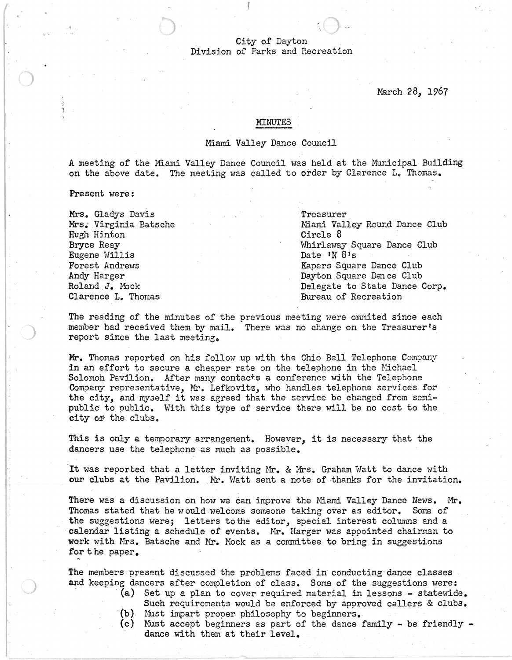## City of Dayton Division of Parks and Recreation

March *2B, 1967* 

## MINUTES

## Miami Valley Dance Council

A meeting of the Miami Valley Dance Council was held at the Municipal Building on the above date. The meeting was called to order by Clarence L. Thomas.

Present were:

Mrs. Gladys Davis Mrs.' Virginia Batsche Hugh Hinton Bryce Reay Eugene Willis Forest Andrews Andy Harger Roland J. Mock Clarence L. Thomas

Treasurer Miami Valley Round Dance Club Circle 8 Whirlaway Square Dance Club Date 'N 8's Kapers Square Dance Club Dayton Square Dm ce Club Delegate to State Dance Corp. Bureau of Recreation

The reading of the minutes of the previous meeting were ommited since each member had received them by mail. There was no change on the Treasurer's report since the last meeting.

Mr. Thomas reported on his follow up with the Ohio Bell Telephone Company in an effort to secure a cheaper rate on the telephone in the Michael Solomoh Pavilion. After many contacts a conference with the Telephone Company representative, Mr. Lefkovitz, who handles telephone services for the city, and myself it was agreed that the service be changed from semipublic to public. With this type of service there will be no cost to the city of the clubs.

This is only a temporary arrangement. However, it is necessary that the dancers use the telephone as much as possible.

It was reported that a letter inviting Mr. & Mrs. Graham Watt to dance with **our** clubs at the Pavilion. Mr. Watt sent a note of thanks for the invitation.

There was a discussion on how we can improve the l'Iiami Valley Dance News. **Mr.**  Thomas stated that he would welcome someone taking over as editor. Some of the suggestions were; letters to the editor, special interest columns and a calendar listing a schedule of events. Mr. Harger was appointed chairman to work with Mrs. Batsche and Mr. Mock as a committee to bring in suggestions for the paper.

The members present discussed the problems faced in conducting dance classes and keeping dancers after completion of class. Some of the suggestions were:<br>(a) Set up a plan to cover required material in lessons - statewide.

- Such requirements would be enforced by approved callers & clubs.
	-
- (b) Must impart proper philosophy to beginners.<br>(c) Must accept beginners as part of the dance family be friendly dance with them at their level.